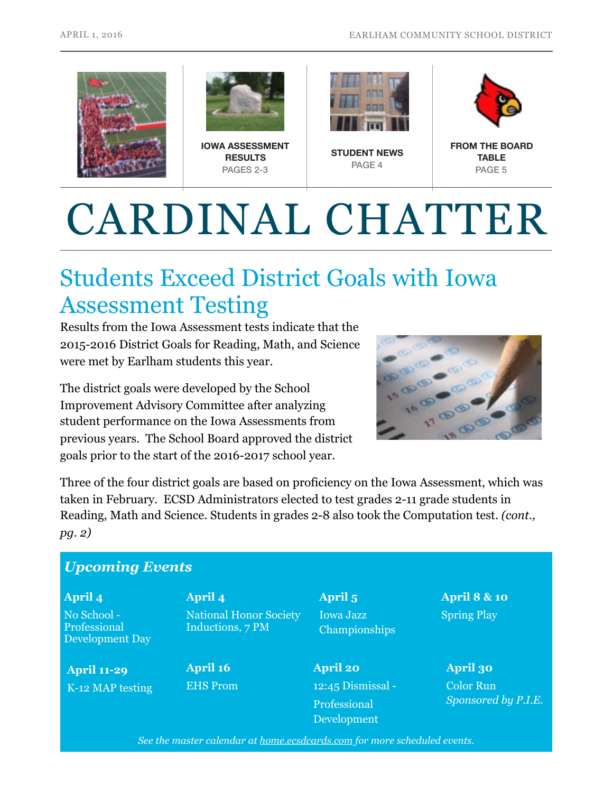



**IOWA ASSESSMENT RESULTS** PAGES 2-3



**STUDENT NEWS** PAGE 4



**FROM THE BOARD TABLE**  PAGE 5

# CARDINAL CHATTER

## Students Exceed District Goals with Iowa Assessment Testing

Results from the Iowa Assessment tests indicate that the 2015-2016 District Goals for Reading, Math, and Science were met by Earlham students this year.

The district goals were developed by the School Improvement Advisory Committee after analyzing student performance on the Iowa Assessments from previous years. The School Board approved the district goals prior to the start of the 2016-2017 school year.



Three of the four district goals are based on proficiency on the Iowa Assessment, which was taken in February. ECSD Administrators elected to test grades 2-11 grade students in Reading, Math and Science. Students in grades 2-8 also took the Computation test. *(cont., pg. 2)*

#### *Upcoming Events*

**April 4**  No School - Professional Development Day

**April 11-29**  K-12 MAP testing **April 4**  National Honor Society Inductions, 7 PM

**April 16**  EHS Prom **April 5**  Iowa Jazz Championships

**April 20**  12:45 Dismissal - Professional Development

**April 8 & 10**  Spring Play

**April 30**  Color Run *Sponsored by P.I.E.*

*See the master calendar at [home.ecsdcards.com](http://home.ecsdcards.com) for more scheduled events.*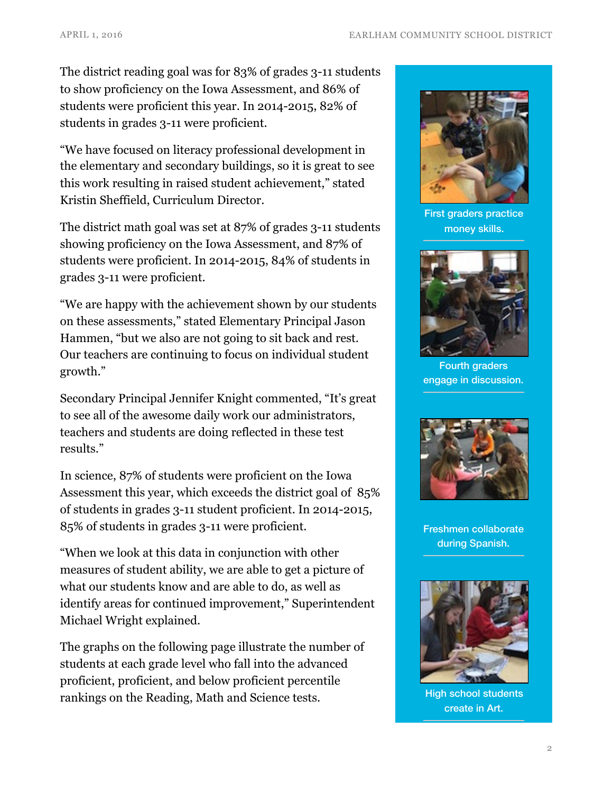The district reading goal was for 83% of grades 3-11 students to show proficiency on the Iowa Assessment, and 86% of students were proficient this year. In 2014-2015, 82% of students in grades 3-11 were proficient.

"We have focused on literacy professional development in the elementary and secondary buildings, so it is great to see this work resulting in raised student achievement," stated Kristin Sheffield, Curriculum Director.

The district math goal was set at 87% of grades 3-11 students showing proficiency on the Iowa Assessment, and 87% of students were proficient. In 2014-2015, 84% of students in grades 3-11 were proficient.

"We are happy with the achievement shown by our students on these assessments," stated Elementary Principal Jason Hammen, "but we also are not going to sit back and rest. Our teachers are continuing to focus on individual student growth."

Secondary Principal Jennifer Knight commented, "It's great to see all of the awesome daily work our administrators, teachers and students are doing reflected in these test results."

In science, 87% of students were proficient on the Iowa Assessment this year, which exceeds the district goal of 85% of students in grades 3-11 student proficient. In 2014-2015, 85% of students in grades 3-11 were proficient.

"When we look at this data in conjunction with other measures of student ability, we are able to get a picture of what our students know and are able to do, as well as identify areas for continued improvement," Superintendent Michael Wright explained.

The graphs on the following page illustrate the number of students at each grade level who fall into the advanced proficient, proficient, and below proficient percentile rankings on the Reading, Math and Science tests.



First graders practice money skills.



Fourth graders engage in discussion.



Freshmen collaborate during Spanish.



High school students create in Art.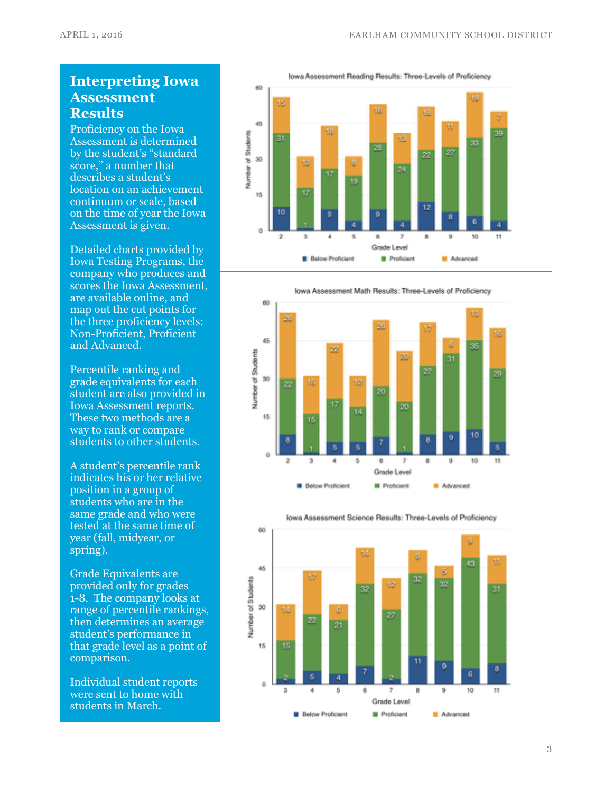#### **Interpreting Iowa Assessment Results**

Proficiency on the Iowa Assessment is determined by the student's "standard score," a number that describes a student's location on an achievement continuum or scale, based on the time of year the Iowa Assessment is given.

Detailed charts provided by Iowa Testing Programs, the company who produces and scores the Iowa Assessment, are available online, and map out the cut points for the three proficiency levels: Non-Proficient, Proficient and Advanced.

Percentile ranking and grade equivalents for each student are also provided in Iowa Assessment reports. These two methods are a way to rank or compare students to other students.

A student's percentile rank indicates his or her relative position in a group of students who are in the same grade and who were tested at the same time of year (fall, midyear, or spring).

Grade Equivalents are provided only for grades 1-8. The company looks at range of percentile rankings, then determines an average student's performance in that grade level as a point of comparison.

Individual student reports were sent to home with students in March.





lowa Assessment Math Results: Three-Levels of Proficiency





lowa Assessment Science Results: Three-Levels of Proficiency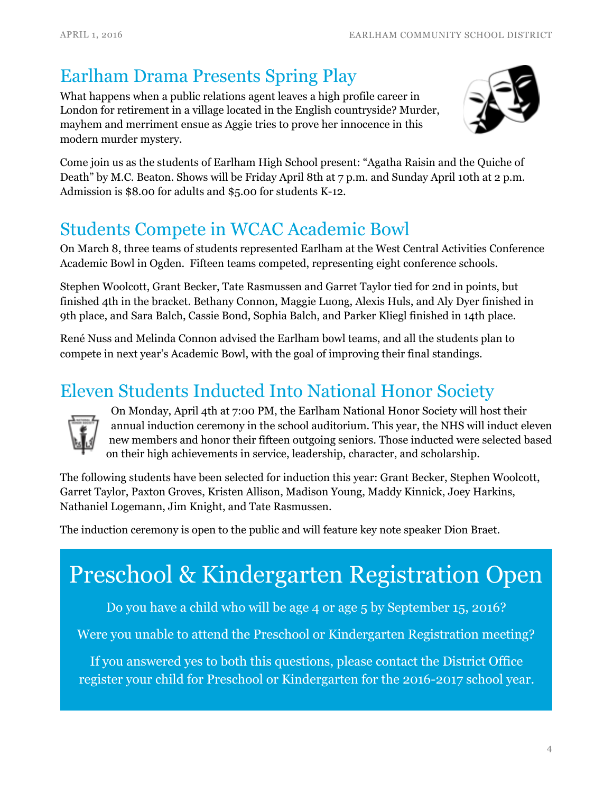#### Earlham Drama Presents Spring Play

What happens when a public relations agent leaves a high profile career in London for retirement in a village located in the English countryside? Murder, mayhem and merriment ensue as Aggie tries to prove her innocence in this modern murder mystery.



Come join us as the students of Earlham High School present: "Agatha Raisin and the Quiche of Death" by M.C. Beaton. Shows will be Friday April 8th at 7 p.m. and Sunday April 10th at 2 p.m. Admission is \$8.00 for adults and \$5.00 for students K-12.

#### Students Compete in WCAC Academic Bowl

On March 8, three teams of students represented Earlham at the West Central Activities Conference Academic Bowl in Ogden. Fifteen teams competed, representing eight conference schools.

Stephen Woolcott, Grant Becker, Tate Rasmussen and Garret Taylor tied for 2nd in points, but finished 4th in the bracket. Bethany Connon, Maggie Luong, Alexis Huls, and Aly Dyer finished in 9th place, and Sara Balch, Cassie Bond, Sophia Balch, and Parker Kliegl finished in 14th place.

René Nuss and Melinda Connon advised the Earlham bowl teams, and all the students plan to compete in next year's Academic Bowl, with the goal of improving their final standings.

# Eleven Students Inducted Into National Honor Society<br>
On Monday, April 4th at 7:00 PM, the Earlham National Honor Society will host their



annual induction ceremony in the school auditorium. This year, the NHS will induct eleven new members and honor their fifteen outgoing seniors. Those inducted were selected based on their high achievements in service, leadership, character, and scholarship.

The following students have been selected for induction this year: Grant Becker, Stephen Woolcott, Garret Taylor, Paxton Groves, Kristen Allison, Madison Young, Maddy Kinnick, Joey Harkins, Nathaniel Logemann, Jim Knight, and Tate Rasmussen.

The induction ceremony is open to the public and will feature key note speaker Dion Braet.

# Preschool & Kindergarten Registration Open

Do you have a child who will be age 4 or age 5 by September 15, 2016?

Were you unable to attend the Preschool or Kindergarten Registration meeting?

If you answered yes to both this questions, please contact the District Office register your child for Preschool or Kindergarten for the 2016-2017 school year.